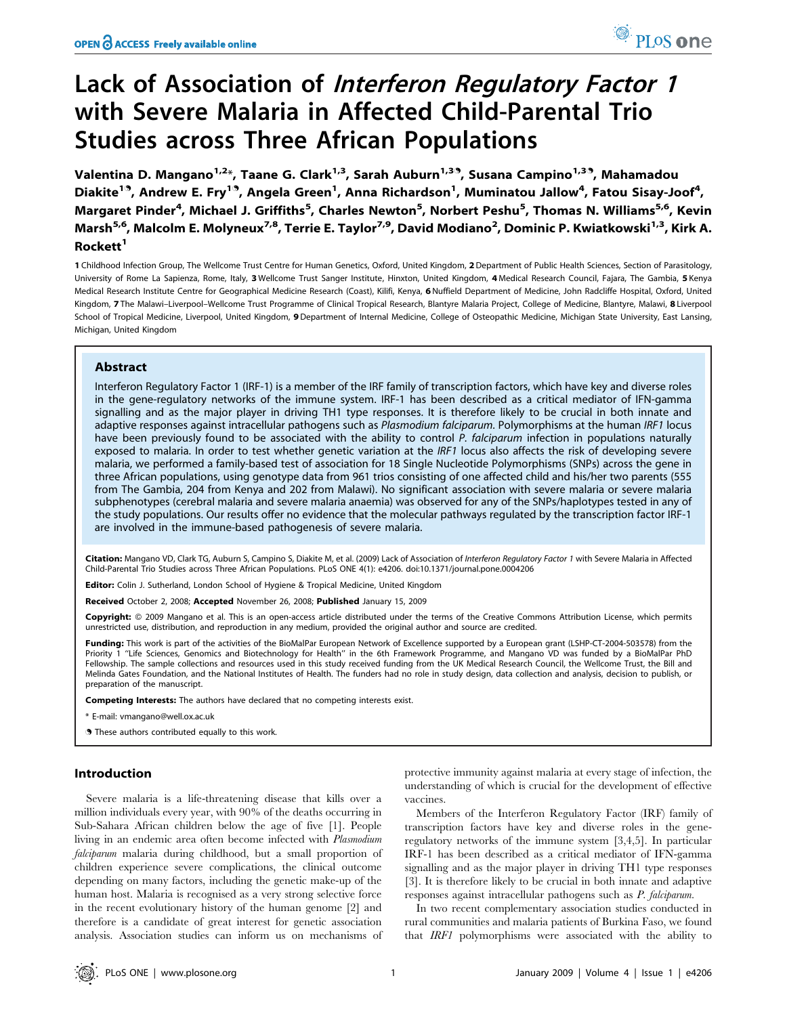# Lack of Association of Interferon Regulatory Factor <sup>1</sup> with Severe Malaria in Affected Child-Parental Trio Studies across Three African Populations

Valentina D. Mangano<sup>1,2\*</sup>, Taane G. Clark<sup>1,3</sup>, Sarah Auburn<sup>1,33</sup>, Susana Campino<sup>1,33</sup>, Mahamadou Diakite<sup>19</sup>, Andrew E. Fry<sup>19</sup>, Angela Green<sup>1</sup>, Anna Richardson<sup>1</sup>, Muminatou Jallow<sup>4</sup>, Fatou Sisay-Joof<sup>4</sup>, Margaret Pinder<sup>4</sup>, Michael J. Griffiths<sup>5</sup>, Charles Newton<sup>5</sup>, Norbert Peshu<sup>5</sup>, Thomas N. Williams<sup>5,6</sup>, Kevin Marsh<sup>5,6</sup>, Malcolm E. Molyneux<sup>7,8</sup>, Terrie E. Taylor<sup>7,9</sup>, David Modiano<sup>2</sup>, Dominic P. Kwiatkowski<sup>1,3</sup>, Kirk A. Rockett<sup>1</sup>

1 Childhood Infection Group, The Wellcome Trust Centre for Human Genetics, Oxford, United Kingdom, 2 Department of Public Health Sciences, Section of Parasitology, University of Rome La Sapienza, Rome, Italy, 3 Wellcome Trust Sanger Institute, Hinxton, United Kingdom, 4 Medical Research Council, Fajara, The Gambia, 5 Kenya Medical Research Institute Centre for Geographical Medicine Research (Coast), Kilifi, Kenya, 6 Nuffield Department of Medicine, John Radcliffe Hospital, Oxford, United Kingdom, 7 The Malawi-Liverpool-Wellcome Trust Programme of Clinical Tropical Research, Blantyre Malaria Project, College of Medicine, Blantyre, Malawi, 8 Liverpool School of Tropical Medicine, Liverpool, United Kingdom, 9 Department of Internal Medicine, College of Osteopathic Medicine, Michigan State University, East Lansing, Michigan, United Kingdom

## Abstract

Interferon Regulatory Factor 1 (IRF-1) is a member of the IRF family of transcription factors, which have key and diverse roles in the gene-regulatory networks of the immune system. IRF-1 has been described as a critical mediator of IFN-gamma signalling and as the major player in driving TH1 type responses. It is therefore likely to be crucial in both innate and adaptive responses against intracellular pathogens such as Plasmodium falciparum. Polymorphisms at the human IRF1 locus have been previously found to be associated with the ability to control P. falciparum infection in populations naturally exposed to malaria. In order to test whether genetic variation at the IRF1 locus also affects the risk of developing severe malaria, we performed a family-based test of association for 18 Single Nucleotide Polymorphisms (SNPs) across the gene in three African populations, using genotype data from 961 trios consisting of one affected child and his/her two parents (555 from The Gambia, 204 from Kenya and 202 from Malawi). No significant association with severe malaria or severe malaria subphenotypes (cerebral malaria and severe malaria anaemia) was observed for any of the SNPs/haplotypes tested in any of the study populations. Our results offer no evidence that the molecular pathways regulated by the transcription factor IRF-1 are involved in the immune-based pathogenesis of severe malaria.

Citation: Mangano VD, Clark TG, Auburn S, Campino S, Diakite M, et al. (2009) Lack of Association of Interferon Regulatory Factor 1 with Severe Malaria in Affected Child-Parental Trio Studies across Three African Populations. PLoS ONE 4(1): e4206. doi:10.1371/journal.pone.0004206

Editor: Colin J. Sutherland, London School of Hygiene & Tropical Medicine, United Kingdom

Received October 2, 2008; Accepted November 26, 2008; Published January 15, 2009

Copyright: © 2009 Mangano et al. This is an open-access article distributed under the terms of the Creative Commons Attribution License, which permits unrestricted use, distribution, and reproduction in any medium, provided the original author and source are credited.

Funding: This work is part of the activities of the BioMalPar European Network of Excellence supported by a European grant (LSHP-CT-2004-503578) from the Priority 1 ''Life Sciences, Genomics and Biotechnology for Health'' in the 6th Framework Programme, and Mangano VD was funded by a BioMalPar PhD Fellowship. The sample collections and resources used in this study received funding from the UK Medical Research Council, the Wellcome Trust, the Bill and Melinda Gates Foundation, and the National Institutes of Health. The funders had no role in study design, data collection and analysis, decision to publish, or preparation of the manuscript.

Competing Interests: The authors have declared that no competing interests exist.

\* E-mail: vmangano@well.ox.ac.uk

. These authors contributed equally to this work.

## Introduction

Severe malaria is a life-threatening disease that kills over a million individuals every year, with 90% of the deaths occurring in Sub-Sahara African children below the age of five [1]. People living in an endemic area often become infected with Plasmodium falciparum malaria during childhood, but a small proportion of children experience severe complications, the clinical outcome depending on many factors, including the genetic make-up of the human host. Malaria is recognised as a very strong selective force in the recent evolutionary history of the human genome [2] and therefore is a candidate of great interest for genetic association analysis. Association studies can inform us on mechanisms of

protective immunity against malaria at every stage of infection, the understanding of which is crucial for the development of effective vaccines.

Members of the Interferon Regulatory Factor (IRF) family of transcription factors have key and diverse roles in the generegulatory networks of the immune system [3,4,5]. In particular IRF-1 has been described as a critical mediator of IFN-gamma signalling and as the major player in driving TH1 type responses [3]. It is therefore likely to be crucial in both innate and adaptive responses against intracellular pathogens such as P. falciparum.

In two recent complementary association studies conducted in rural communities and malaria patients of Burkina Faso, we found that IRF1 polymorphisms were associated with the ability to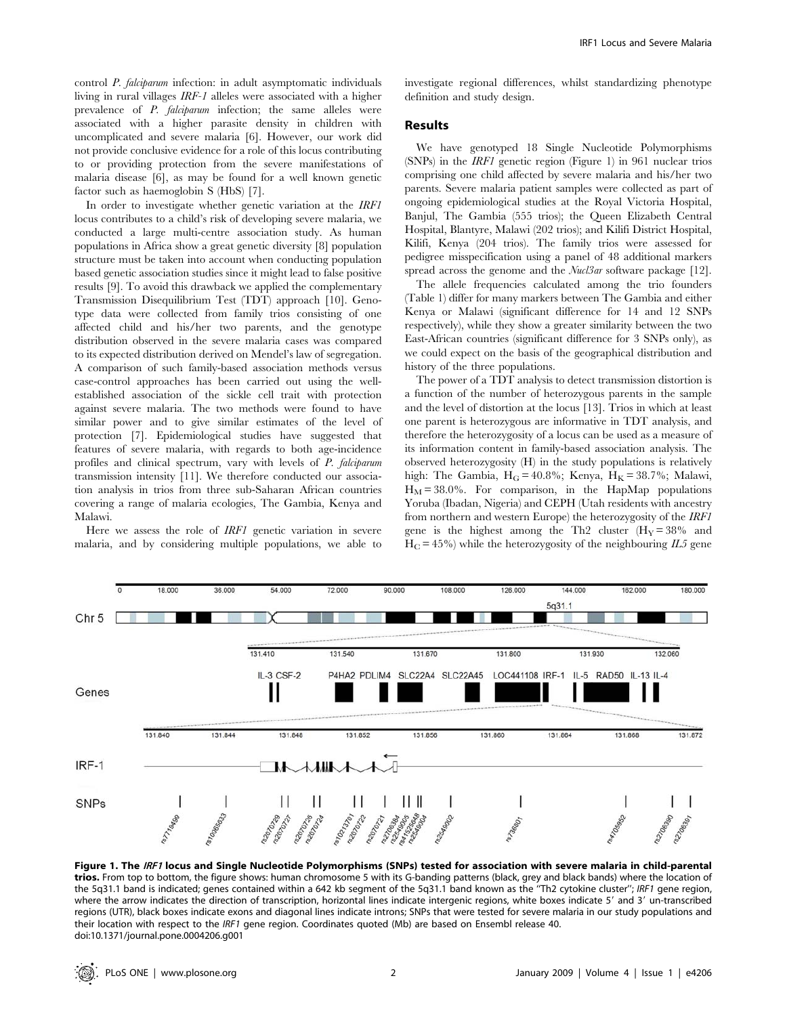control P. falciparum infection: in adult asymptomatic individuals living in rural villages IRF-1 alleles were associated with a higher prevalence of P. falciparum infection; the same alleles were associated with a higher parasite density in children with uncomplicated and severe malaria [6]. However, our work did not provide conclusive evidence for a role of this locus contributing to or providing protection from the severe manifestations of malaria disease [6], as may be found for a well known genetic factor such as haemoglobin S (HbS) [7].

In order to investigate whether genetic variation at the IRF1 locus contributes to a child's risk of developing severe malaria, we conducted a large multi-centre association study. As human populations in Africa show a great genetic diversity [8] population structure must be taken into account when conducting population based genetic association studies since it might lead to false positive results [9]. To avoid this drawback we applied the complementary Transmission Disequilibrium Test (TDT) approach [10]. Genotype data were collected from family trios consisting of one affected child and his/her two parents, and the genotype distribution observed in the severe malaria cases was compared to its expected distribution derived on Mendel's law of segregation. A comparison of such family-based association methods versus case-control approaches has been carried out using the wellestablished association of the sickle cell trait with protection against severe malaria. The two methods were found to have similar power and to give similar estimates of the level of protection [7]. Epidemiological studies have suggested that features of severe malaria, with regards to both age-incidence profiles and clinical spectrum, vary with levels of P. falciparum transmission intensity [11]. We therefore conducted our association analysis in trios from three sub-Saharan African countries covering a range of malaria ecologies, The Gambia, Kenya and Malawi.

Here we assess the role of IRF1 genetic variation in severe malaria, and by considering multiple populations, we able to investigate regional differences, whilst standardizing phenotype definition and study design.

## Results

We have genotyped 18 Single Nucleotide Polymorphisms (SNPs) in the IRF1 genetic region (Figure 1) in 961 nuclear trios comprising one child affected by severe malaria and his/her two parents. Severe malaria patient samples were collected as part of ongoing epidemiological studies at the Royal Victoria Hospital, Banjul, The Gambia (555 trios); the Queen Elizabeth Central Hospital, Blantyre, Malawi (202 trios); and Kilifi District Hospital, Kilifi, Kenya (204 trios). The family trios were assessed for pedigree misspecification using a panel of 48 additional markers spread across the genome and the *Nucl3ar* software package [12].

The allele frequencies calculated among the trio founders (Table 1) differ for many markers between The Gambia and either Kenya or Malawi (significant difference for 14 and 12 SNPs respectively), while they show a greater similarity between the two East-African countries (significant difference for 3 SNPs only), as we could expect on the basis of the geographical distribution and history of the three populations.

The power of a TDT analysis to detect transmission distortion is a function of the number of heterozygous parents in the sample and the level of distortion at the locus [13]. Trios in which at least one parent is heterozygous are informative in TDT analysis, and therefore the heterozygosity of a locus can be used as a measure of its information content in family-based association analysis. The observed heterozygosity (H) in the study populations is relatively high: The Gambia,  $H_G = 40.8\%$ ; Kenya,  $H_K = 38.7\%$ ; Malawi,  $H_M = 38.0\%$ . For comparison, in the HapMap populations Yoruba (Ibadan, Nigeria) and CEPH (Utah residents with ancestry from northern and western Europe) the heterozygosity of the IRF1 gene is the highest among the Th2 cluster  $(H_Y = 38\%$  and  $H_C = 45\%$ ) while the heterozygosity of the neighbouring  $IL5$  gene



Figure 1. The IRF1 locus and Single Nucleotide Polymorphisms (SNPs) tested for association with severe malaria in child-parental trios. From top to bottom, the figure shows: human chromosome 5 with its G-banding patterns (black, grey and black bands) where the location of the 5q31.1 band is indicated; genes contained within a 642 kb segment of the 5q31.1 band known as the ''Th2 cytokine cluster''; IRF1 gene region, where the arrow indicates the direction of transcription, horizontal lines indicate intergenic regions, white boxes indicate 5' and 3' un-transcribed regions (UTR), black boxes indicate exons and diagonal lines indicate introns; SNPs that were tested for severe malaria in our study populations and their location with respect to the IRF1 gene region. Coordinates quoted (Mb) are based on Ensembl release 40. doi:10.1371/journal.pone.0004206.g001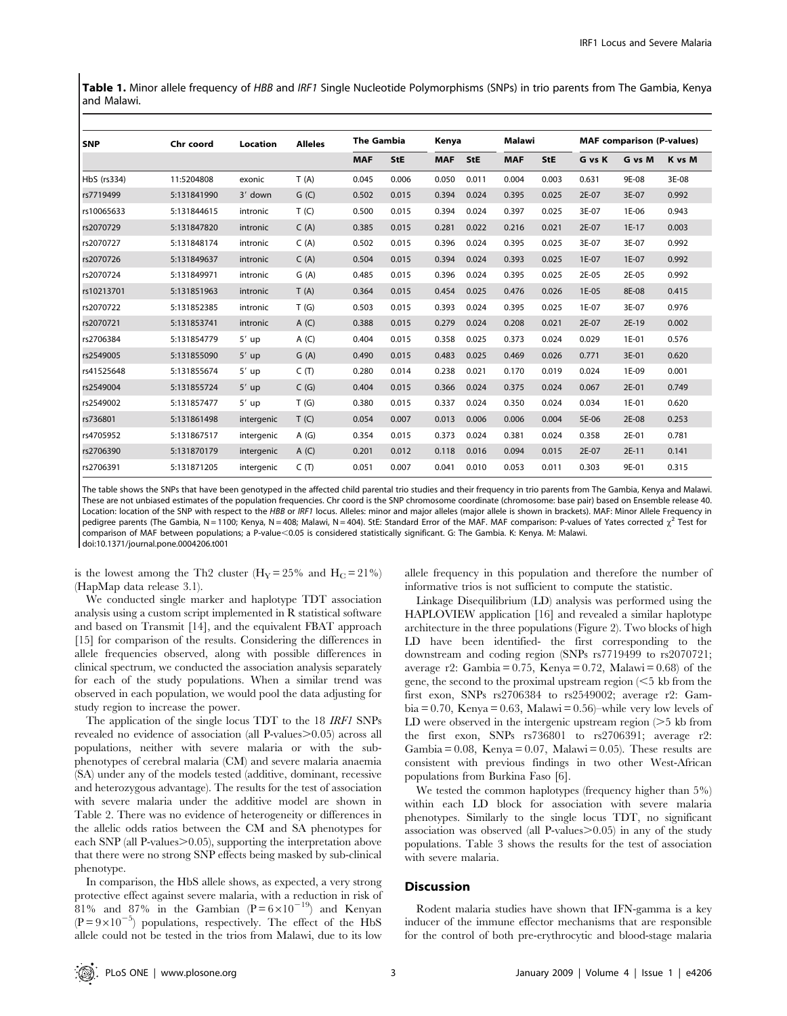Table 1. Minor allele frequency of HBB and IRF1 Single Nucleotide Polymorphisms (SNPs) in trio parents from The Gambia, Kenya and Malawi.

| l SNP       | Chr coord   | <b>Location</b> | <b>Alleles</b> | <b>The Gambia</b> |       | Kenya      |            | Malawi     |       | <b>MAF</b> comparison (P-values) |         |        |  |
|-------------|-------------|-----------------|----------------|-------------------|-------|------------|------------|------------|-------|----------------------------------|---------|--------|--|
|             |             |                 |                | <b>MAF</b>        | StE   | <b>MAF</b> | <b>StE</b> | <b>MAF</b> | StE   | G vs K                           | G vs M  | K vs M |  |
| HbS (rs334) | 11:5204808  | exonic          | T(A)           | 0.045             | 0.006 | 0.050      | 0.011      | 0.004      | 0.003 | 0.631                            | 9E-08   | 3E-08  |  |
| rs7719499   | 5:131841990 | 3' down         | G(G)           | 0.502             | 0.015 | 0.394      | 0.024      | 0.395      | 0.025 | 2E-07                            | 3E-07   | 0.992  |  |
| rs10065633  | 5:131844615 | intronic        | T(C)           | 0.500             | 0.015 | 0.394      | 0.024      | 0.397      | 0.025 | 3E-07                            | 1E-06   | 0.943  |  |
| rs2070729   | 5:131847820 | intronic        | C(A)           | 0.385             | 0.015 | 0.281      | 0.022      | 0.216      | 0.021 | 2E-07                            | $1E-17$ | 0.003  |  |
| rs2070727   | 5:131848174 | intronic        | C(A)           | 0.502             | 0.015 | 0.396      | 0.024      | 0.395      | 0.025 | 3E-07                            | 3E-07   | 0.992  |  |
| rs2070726   | 5:131849637 | intronic        | C(A)           | 0.504             | 0.015 | 0.394      | 0.024      | 0.393      | 0.025 | 1E-07                            | 1E-07   | 0.992  |  |
| rs2070724   | 5:131849971 | intronic        | G(A)           | 0.485             | 0.015 | 0.396      | 0.024      | 0.395      | 0.025 | 2E-05                            | 2E-05   | 0.992  |  |
| rs10213701  | 5:131851963 | intronic        | T(A)           | 0.364             | 0.015 | 0.454      | 0.025      | 0.476      | 0.026 | 1E-05                            | 8E-08   | 0.415  |  |
| rs2070722   | 5:131852385 | intronic        | T(G)           | 0.503             | 0.015 | 0.393      | 0.024      | 0.395      | 0.025 | 1E-07                            | 3E-07   | 0.976  |  |
| rs2070721   | 5:131853741 | intronic        | A(C)           | 0.388             | 0.015 | 0.279      | 0.024      | 0.208      | 0.021 | 2E-07                            | 2E-19   | 0.002  |  |
| rs2706384   | 5:131854779 | $5'$ up         | A(C)           | 0.404             | 0.015 | 0.358      | 0.025      | 0.373      | 0.024 | 0.029                            | 1E-01   | 0.576  |  |
| rs2549005   | 5:131855090 | $5'$ up         | G(A)           | 0.490             | 0.015 | 0.483      | 0.025      | 0.469      | 0.026 | 0.771                            | 3E-01   | 0.620  |  |
| rs41525648  | 5:131855674 | $5'$ up         | C(T)           | 0.280             | 0.014 | 0.238      | 0.021      | 0.170      | 0.019 | 0.024                            | 1E-09   | 0.001  |  |
| rs2549004   | 5:131855724 | $5'$ up         | C(G)           | 0.404             | 0.015 | 0.366      | 0.024      | 0.375      | 0.024 | 0.067                            | 2E-01   | 0.749  |  |
| rs2549002   | 5:131857477 | $5'$ up         | T(G)           | 0.380             | 0.015 | 0.337      | 0.024      | 0.350      | 0.024 | 0.034                            | 1E-01   | 0.620  |  |
| rs736801    | 5:131861498 | intergenic      | T(G)           | 0.054             | 0.007 | 0.013      | 0.006      | 0.006      | 0.004 | 5E-06                            | 2E-08   | 0.253  |  |
| rs4705952   | 5:131867517 | intergenic      | A(G)           | 0.354             | 0.015 | 0.373      | 0.024      | 0.381      | 0.024 | 0.358                            | 2E-01   | 0.781  |  |
| rs2706390   | 5:131870179 | intergenic      | A(C)           | 0.201             | 0.012 | 0.118      | 0.016      | 0.094      | 0.015 | 2E-07                            | $2E-11$ | 0.141  |  |
| rs2706391   | 5:131871205 | intergenic      | C(T)           | 0.051             | 0.007 | 0.041      | 0.010      | 0.053      | 0.011 | 0.303                            | 9E-01   | 0.315  |  |

The table shows the SNPs that have been genotyped in the affected child parental trio studies and their frequency in trio parents from The Gambia, Kenya and Malawi. These are not unbiased estimates of the population frequencies. Chr coord is the SNP chromosome coordinate (chromosome: base pair) based on Ensemble release 40. Location: location of the SNP with respect to the HBB or IRF1 locus. Alleles: minor and major alleles (major allele is shown in brackets). MAF: Minor Allele Frequency in pedigree parents (The Gambia, N = 1100; Kenya, N = 408; Malawi, N = 404). StE: Standard Error of the MAF. MAF comparison: P-values of Yates corrected  $\chi^2$  Test for comparison of MAF between populations; a P-value<0.05 is considered statistically significant. G: The Gambia. K: Kenya. M: Malawi. doi:10.1371/journal.pone.0004206.t001

is the lowest among the Th2 cluster  $(H_Y = 25\%$  and  $H_C = 21\%)$ (HapMap data release 3.1).

We conducted single marker and haplotype TDT association analysis using a custom script implemented in R statistical software and based on Transmit [14], and the equivalent FBAT approach [15] for comparison of the results. Considering the differences in allele frequencies observed, along with possible differences in clinical spectrum, we conducted the association analysis separately for each of the study populations. When a similar trend was observed in each population, we would pool the data adjusting for study region to increase the power.

The application of the single locus TDT to the 18 IRF1 SNPs revealed no evidence of association (all P-values $> 0.05$ ) across all populations, neither with severe malaria or with the subphenotypes of cerebral malaria (CM) and severe malaria anaemia (SA) under any of the models tested (additive, dominant, recessive and heterozygous advantage). The results for the test of association with severe malaria under the additive model are shown in Table 2. There was no evidence of heterogeneity or differences in the allelic odds ratios between the CM and SA phenotypes for each SNP (all P-values $\geq$ 0.05), supporting the interpretation above that there were no strong SNP effects being masked by sub-clinical phenotype.

In comparison, the HbS allele shows, as expected, a very strong protective effect against severe malaria, with a reduction in risk of 81% and 87% in the Gambian  $(P=6\times10^{-19})$  and Kenyan  $(P=9\times10^{-5})$  populations, respectively. The effect of the HbS allele could not be tested in the trios from Malawi, due to its low

allele frequency in this population and therefore the number of informative trios is not sufficient to compute the statistic.

Linkage Disequilibrium (LD) analysis was performed using the HAPLOVIEW application [16] and revealed a similar haplotype architecture in the three populations (Figure 2). Two blocks of high LD have been identified- the first corresponding to the downstream and coding region (SNPs rs7719499 to rs2070721; average r2: Gambia = 0.75, Kenya = 0.72, Malawi = 0.68) of the gene, the second to the proximal upstream region  $\leq 5$  kb from the first exon, SNPs rs2706384 to rs2549002; average r2: Gambia = 0.70, Kenya = 0.63, Malawi = 0.56)–while very low levels of LD were observed in the intergenic upstream region  $($ >5 kb from the first exon, SNPs rs736801 to rs2706391; average r2: Gambia =  $0.08$ , Kenya =  $0.07$ , Malawi =  $0.05$ ). These results are consistent with previous findings in two other West-African populations from Burkina Faso [6].

We tested the common haplotypes (frequency higher than 5%) within each LD block for association with severe malaria phenotypes. Similarly to the single locus TDT, no significant association was observed (all P-values $> 0.05$ ) in any of the study populations. Table 3 shows the results for the test of association with severe malaria.

## **Discussion**

Rodent malaria studies have shown that IFN-gamma is a key inducer of the immune effector mechanisms that are responsible for the control of both pre-erythrocytic and blood-stage malaria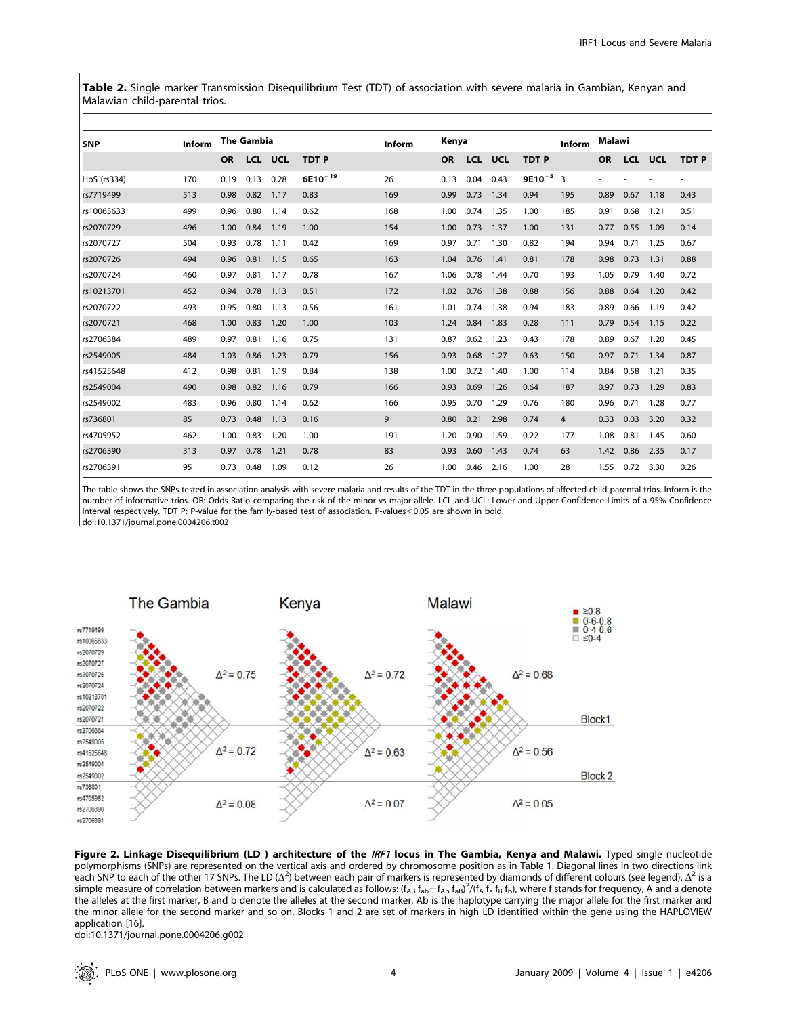Table 2. Single marker Transmission Disequilibrium Test (TDT) of association with severe malaria in Gambian, Kenyan and Malawian child-parental trios.

| <b>SNP</b>  | <b>Inform</b> |           | <b>The Gambia</b> |            |              | <b>Inform</b> | Kenya     |      |                |               | Inform | Malawi    |            |            |             |
|-------------|---------------|-----------|-------------------|------------|--------------|---------------|-----------|------|----------------|---------------|--------|-----------|------------|------------|-------------|
|             |               | <b>OR</b> | <b>LCL</b>        | <b>UCL</b> | <b>TDTP</b>  |               | <b>OR</b> |      | <b>LCL UCL</b> | <b>TDTP</b>   |        | <b>OR</b> | <b>LCL</b> | <b>UCL</b> | <b>TDTP</b> |
| HbS (rs334) | 170           | 0.19      | 0.13              | 0.28       | $6E10^{-19}$ | 26            | 0.13      | 0.04 | 0.43           | $9E10^{-5}$ 3 |        |           |            |            |             |
| rs7719499   | 513           | 0.98      | 0.82              | 1.17       | 0.83         | 169           | 0.99      | 0.73 | 1.34           | 0.94          | 195    | 0.89      | 0.67       | 1.18       | 0.43        |
| rs10065633  | 499           | 0.96      | 0.80              | 1.14       | 0.62         | 168           | 1.00      | 0.74 | 1.35           | 1.00          | 185    | 0.91      | 0.68       | 1.21       | 0.51        |
| rs2070729   | 496           | 1.00      | 0.84              | 1.19       | 1.00         | 154           | 1.00      | 0.73 | 1.37           | 1.00          | 131    | 0.77      | 0.55       | 1.09       | 0.14        |
| rs2070727   | 504           | 0.93      | 0.78              | 1.11       | 0.42         | 169           | 0.97      | 0.71 | 1.30           | 0.82          | 194    | 0.94      | 0.71       | 1.25       | 0.67        |
| rs2070726   | 494           | 0.96      | 0.81              | 1.15       | 0.65         | 163           | 1.04      | 0.76 | 1.41           | 0.81          | 178    | 0.98      | 0.73       | 1.31       | 0.88        |
| rs2070724   | 460           | 0.97      | 0.81              | 1.17       | 0.78         | 167           | 1.06      | 0.78 | 1.44           | 0.70          | 193    | 1.05      | 0.79       | 1.40       | 0.72        |
| rs10213701  | 452           | 0.94      | 0.78              | 1.13       | 0.51         | 172           | 1.02      | 0.76 | 1.38           | 0.88          | 156    | 0.88      | 0.64       | 1.20       | 0.42        |
| rs2070722   | 493           | 0.95      | 0.80              | 1.13       | 0.56         | 161           | 1.01      | 0.74 | 1.38           | 0.94          | 183    | 0.89      | 0.66       | 1.19       | 0.42        |
| rs2070721   | 468           | 1.00      | 0.83              | 1.20       | 1.00         | 103           | 1.24      | 0.84 | 1.83           | 0.28          | 111    | 0.79      | 0.54       | 1.15       | 0.22        |
| rs2706384   | 489           | 0.97      | 0.81              | 1.16       | 0.75         | 131           | 0.87      | 0.62 | 1.23           | 0.43          | 178    | 0.89      | 0.67       | 1.20       | 0.45        |
| rs2549005   | 484           | 1.03      | 0.86              | 1.23       | 0.79         | 156           | 0.93      | 0.68 | 1.27           | 0.63          | 150    | 0.97      | 0.71       | 1.34       | 0.87        |
| rs41525648  | 412           | 0.98      | 0.81              | 1.19       | 0.84         | 138           | 1.00      | 0.72 | 1.40           | 1.00          | 114    | 0.84      | 0.58       | 1.21       | 0.35        |
| rs2549004   | 490           | 0.98      | 0.82              | 1.16       | 0.79         | 166           | 0.93      | 0.69 | 1.26           | 0.64          | 187    | 0.97      | 0.73       | 1.29       | 0.83        |
| rs2549002   | 483           | 0.96      | 0.80              | 1.14       | 0.62         | 166           | 0.95      | 0.70 | 1.29           | 0.76          | 180    | 0.96      | 0.71       | 1.28       | 0.77        |
| rs736801    | 85            | 0.73      | 0.48              | 1.13       | 0.16         | 9             | 0.80      | 0.21 | 2.98           | 0.74          | 4      | 0.33      | 0.03       | 3.20       | 0.32        |
| rs4705952   | 462           | 1.00      | 0.83              | 1.20       | 1.00         | 191           | 1.20      | 0.90 | 1.59           | 0.22          | 177    | 1.08      | 0.81       | 1.45       | 0.60        |
| rs2706390   | 313           | 0.97      | 0.78              | 1.21       | 0.78         | 83            | 0.93      | 0.60 | 1.43           | 0.74          | 63     | 1.42      | 0.86       | 2.35       | 0.17        |
| rs2706391   | 95            | 0.73      | 0.48              | 1.09       | 0.12         | 26            | 1.00      | 0.46 | 2.16           | 1.00          | 28     | 1.55      | 0.72       | 3.30       | 0.26        |

The table shows the SNPs tested in association analysis with severe malaria and results of the TDT in the three populations of affected child-parental trios. Inform is the number of informative trios. OR: Odds Ratio comparing the risk of the minor vs major allele. LCL and UCL: Lower and Upper Confidence Limits of a 95% Confidence Interval respectively. TDT P: P-value for the family-based test of association. P-values<0.05 are shown in bold. doi:10.1371/journal.pone.0004206.t002



Figure 2. Linkage Disequilibrium (LD) architecture of the IRF1 locus in The Gambia, Kenya and Malawi. Typed single nucleotide polymorphisms (SNPs) are represented on the vertical axis and ordered by chromosome position as in Table 1. Diagonal lines in two directions link each SNP to each of the other 17 SNPs. The LD ( $\Delta^2$ ) between each pair of markers is represented by diamonds of different colours (see legend).  $\Delta^2$  is a simple measure of correlation between markers and is calculated as follows: (f<sub>AB</sub> f<sub>ab</sub>-f<sub>Ab</sub> f<sub>aB</sub>)<sup>2</sup>/(f<sub>A</sub> f<sub>a</sub> f<sub>B</sub> f<sub>b</sub>), where f stands for frequency, A and a denote the alleles at the first marker, B and b denote the alleles at the second marker, Ab is the haplotype carrying the major allele for the first marker and the minor allele for the second marker and so on. Blocks 1 and 2 are set of markers in high LD identified within the gene using the HAPLOVIEW application [16].

doi:10.1371/journal.pone.0004206.g002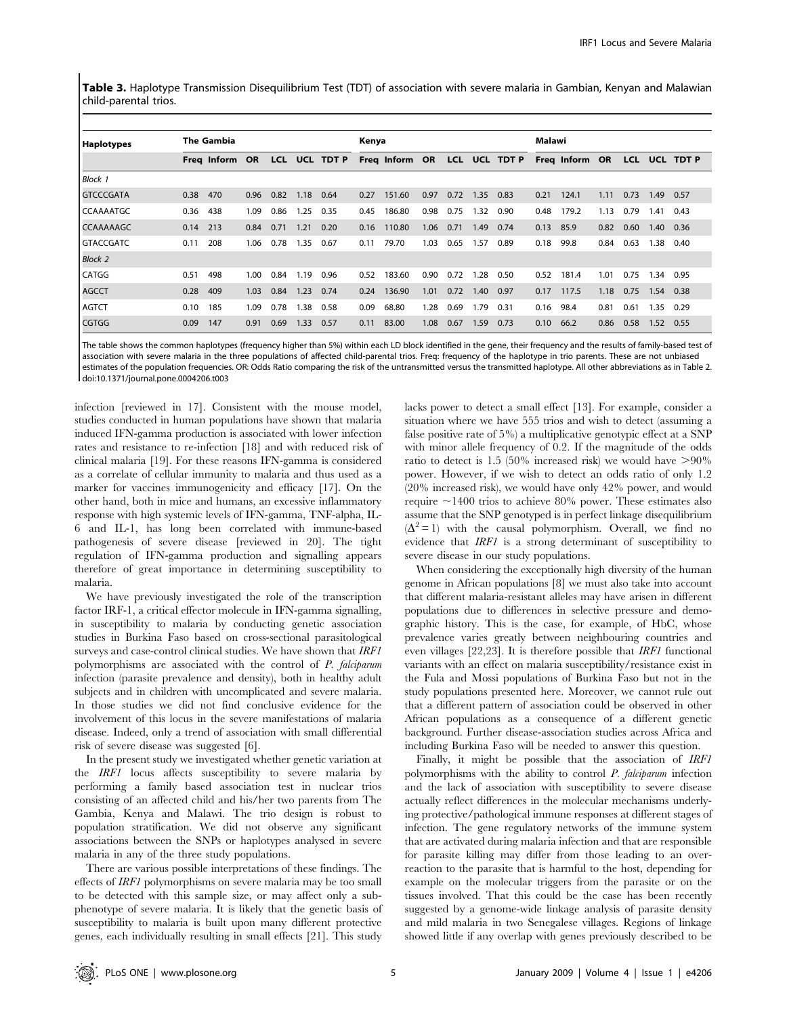Table 3. Haplotype Transmission Disequilibrium Test (TDT) of association with severe malaria in Gambian, Kenyan and Malawian child-parental trios.

| Haplotypes         | <b>The Gambia</b> |                |      |      |      |               | Kenya |                              |      |      |      |      |      | Malawi         |      |            |            |       |  |
|--------------------|-------------------|----------------|------|------|------|---------------|-------|------------------------------|------|------|------|------|------|----------------|------|------------|------------|-------|--|
|                    |                   | Freg Inform OR |      |      |      | LCL UCL TDT P |       | Freq Inform OR LCL UCL TDT P |      |      |      |      |      | Freq Inform OR |      | <b>LCL</b> | <b>UCL</b> | TDT P |  |
| <b>Block 1</b>     |                   |                |      |      |      |               |       |                              |      |      |      |      |      |                |      |            |            |       |  |
| <b>GTCCCGATA</b>   | 0.38              | 470            | 0.96 | 0.82 | 1.18 | 0.64          | 0.27  | 151.60                       | 0.97 | 0.72 | 1.35 | 0.83 | 0.21 | 124.1          | 1.11 | 0.73       | 1.49       | 0.57  |  |
| <b>I</b> CCAAAATGC | 0.36              | 438            | 1.09 | 0.86 | 1.25 | 0.35          | 0.45  | 186.80                       | 0.98 | 0.75 | 1.32 | 0.90 | 0.48 | 179.2          | 1.13 | 0.79       | 1.41       | 0.43  |  |
| <b>CCAAAAAGC</b>   | 0.14              | 213            | 0.84 | 0.71 | 1.21 | 0.20          | 0.16  | 110.80                       | 1.06 | 0.71 | 1.49 | 0.74 | 0.13 | 85.9           | 0.82 | 0.60       | 1.40       | 0.36  |  |
| <b>GTACCGATC</b>   | 0.11              | 208            | 1.06 | 0.78 | 1.35 | 0.67          | 0.11  | 79.70                        | 1.03 | 0.65 | 1.57 | 0.89 | 0.18 | 99.8           | 0.84 | 0.63       | 1.38       | 0.40  |  |
| <b>Block 2</b>     |                   |                |      |      |      |               |       |                              |      |      |      |      |      |                |      |            |            |       |  |
| <b>CATGG</b>       | 0.51              | 498            | 1.00 | 0.84 | 1.19 | 0.96          | 0.52  | 183.60                       | 0.90 | 0.72 | 1.28 | 0.50 | 0.52 | 181.4          | 1.01 | 0.75       | 1.34       | 0.95  |  |
| <b>AGCCT</b>       | 0.28              | 409            | 1.03 | 0.84 | 1.23 | 0.74          | 0.24  | 136.90                       | 1.01 | 0.72 | 1.40 | 0.97 | 0.17 | 117.5          | 1.18 | 0.75       | 1.54 0.38  |       |  |
| <b>AGTCT</b>       | 0.10              | 185            | 1.09 | 0.78 | 1.38 | 0.58          | 0.09  | 68.80                        | 1.28 | 0.69 | 1.79 | 0.31 | 0.16 | 98.4           | 0.81 | 0.61       | 1.35       | 0.29  |  |
| <b>CGTGG</b>       | 0.09              | 147            | 0.91 | 0.69 | 1.33 | 0.57          | 0.11  | 83.00                        | 1.08 | 0.67 | 1.59 | 0.73 | 0.10 | 66.2           | 0.86 | 0.58       | 1.52       | 0.55  |  |

The table shows the common haplotypes (frequency higher than 5%) within each LD block identified in the gene, their frequency and the results of family-based test of association with severe malaria in the three populations of affected child-parental trios. Freq: frequency of the haplotype in trio parents. These are not unbiased estimates of the population frequencies. OR: Odds Ratio comparing the risk of the untransmitted versus the transmitted haplotype. All other abbreviations as in Table 2. doi:10.1371/journal.pone.0004206.t003

infection [reviewed in 17]. Consistent with the mouse model, studies conducted in human populations have shown that malaria induced IFN-gamma production is associated with lower infection rates and resistance to re-infection [18] and with reduced risk of clinical malaria [19]. For these reasons IFN-gamma is considered as a correlate of cellular immunity to malaria and thus used as a marker for vaccines immunogenicity and efficacy [17]. On the other hand, both in mice and humans, an excessive inflammatory response with high systemic levels of IFN-gamma, TNF-alpha, IL-6 and IL-1, has long been correlated with immune-based pathogenesis of severe disease [reviewed in 20]. The tight regulation of IFN-gamma production and signalling appears therefore of great importance in determining susceptibility to malaria.

We have previously investigated the role of the transcription factor IRF-1, a critical effector molecule in IFN-gamma signalling, in susceptibility to malaria by conducting genetic association studies in Burkina Faso based on cross-sectional parasitological surveys and case-control clinical studies. We have shown that IRF1 polymorphisms are associated with the control of P. falciparum infection (parasite prevalence and density), both in healthy adult subjects and in children with uncomplicated and severe malaria. In those studies we did not find conclusive evidence for the involvement of this locus in the severe manifestations of malaria disease. Indeed, only a trend of association with small differential risk of severe disease was suggested [6].

In the present study we investigated whether genetic variation at the IRF1 locus affects susceptibility to severe malaria by performing a family based association test in nuclear trios consisting of an affected child and his/her two parents from The Gambia, Kenya and Malawi. The trio design is robust to population stratification. We did not observe any significant associations between the SNPs or haplotypes analysed in severe malaria in any of the three study populations.

There are various possible interpretations of these findings. The effects of IRF1 polymorphisms on severe malaria may be too small to be detected with this sample size, or may affect only a subphenotype of severe malaria. It is likely that the genetic basis of susceptibility to malaria is built upon many different protective genes, each individually resulting in small effects [21]. This study

lacks power to detect a small effect [13]. For example, consider a situation where we have 555 trios and wish to detect (assuming a false positive rate of 5%) a multiplicative genotypic effect at a SNP with minor allele frequency of 0.2. If the magnitude of the odds ratio to detect is 1.5 (50% increased risk) we would have  $>90\%$ power. However, if we wish to detect an odds ratio of only 1.2 (20% increased risk), we would have only 42% power, and would require  $\sim$ 1400 trios to achieve 80% power. These estimates also assume that the SNP genotyped is in perfect linkage disequilibrium  $(\Delta^2=1)$  with the causal polymorphism. Overall, we find no evidence that IRF1 is a strong determinant of susceptibility to severe disease in our study populations.

When considering the exceptionally high diversity of the human genome in African populations [8] we must also take into account that different malaria-resistant alleles may have arisen in different populations due to differences in selective pressure and demographic history. This is the case, for example, of HbC, whose prevalence varies greatly between neighbouring countries and even villages [22,23]. It is therefore possible that IRF1 functional variants with an effect on malaria susceptibility/resistance exist in the Fula and Mossi populations of Burkina Faso but not in the study populations presented here. Moreover, we cannot rule out that a different pattern of association could be observed in other African populations as a consequence of a different genetic background. Further disease-association studies across Africa and including Burkina Faso will be needed to answer this question.

Finally, it might be possible that the association of IRF1 polymorphisms with the ability to control P. falciparum infection and the lack of association with susceptibility to severe disease actually reflect differences in the molecular mechanisms underlying protective/pathological immune responses at different stages of infection. The gene regulatory networks of the immune system that are activated during malaria infection and that are responsible for parasite killing may differ from those leading to an overreaction to the parasite that is harmful to the host, depending for example on the molecular triggers from the parasite or on the tissues involved. That this could be the case has been recently suggested by a genome-wide linkage analysis of parasite density and mild malaria in two Senegalese villages. Regions of linkage showed little if any overlap with genes previously described to be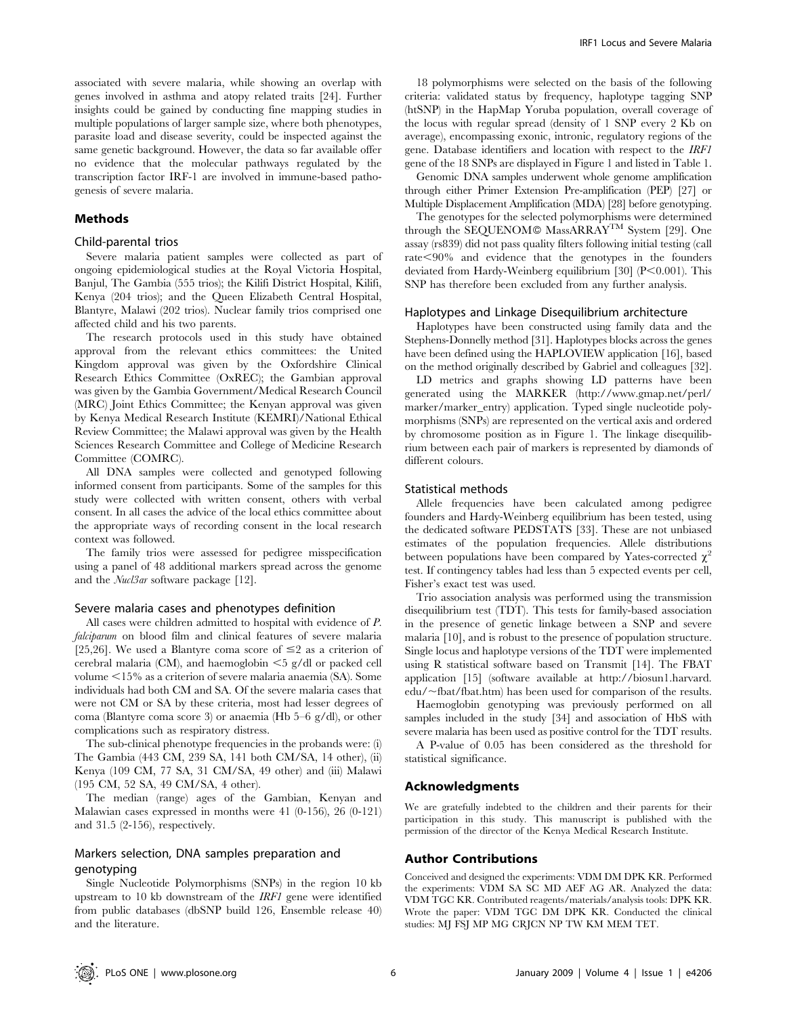associated with severe malaria, while showing an overlap with genes involved in asthma and atopy related traits [24]. Further insights could be gained by conducting fine mapping studies in multiple populations of larger sample size, where both phenotypes, parasite load and disease severity, could be inspected against the same genetic background. However, the data so far available offer no evidence that the molecular pathways regulated by the transcription factor IRF-1 are involved in immune-based pathogenesis of severe malaria.

## Methods

#### Child-parental trios

Severe malaria patient samples were collected as part of ongoing epidemiological studies at the Royal Victoria Hospital, Banjul, The Gambia (555 trios); the Kilifi District Hospital, Kilifi, Kenya (204 trios); and the Queen Elizabeth Central Hospital, Blantyre, Malawi (202 trios). Nuclear family trios comprised one affected child and his two parents.

The research protocols used in this study have obtained approval from the relevant ethics committees: the United Kingdom approval was given by the Oxfordshire Clinical Research Ethics Committee (OxREC); the Gambian approval was given by the Gambia Government/Medical Research Council (MRC) Joint Ethics Committee; the Kenyan approval was given by Kenya Medical Research Institute (KEMRI)/National Ethical Review Committee; the Malawi approval was given by the Health Sciences Research Committee and College of Medicine Research Committee (COMRC).

All DNA samples were collected and genotyped following informed consent from participants. Some of the samples for this study were collected with written consent, others with verbal consent. In all cases the advice of the local ethics committee about the appropriate ways of recording consent in the local research context was followed.

The family trios were assessed for pedigree misspecification using a panel of 48 additional markers spread across the genome and the Nucl3ar software package [12].

#### Severe malaria cases and phenotypes definition

All cases were children admitted to hospital with evidence of P. falciparum on blood film and clinical features of severe malaria [25,26]. We used a Blantyre coma score of  $\leq$ 2 as a criterion of cerebral malaria (CM), and haemoglobin  $\leq$ 5 g/dl or packed cell volume  $<$ 15% as a criterion of severe malaria anaemia (SA). Some individuals had both CM and SA. Of the severe malaria cases that were not CM or SA by these criteria, most had lesser degrees of coma (Blantyre coma score 3) or anaemia (Hb 5–6 g/dl), or other complications such as respiratory distress.

The sub-clinical phenotype frequencies in the probands were: (i) The Gambia (443 CM, 239 SA, 141 both CM/SA, 14 other), (ii) Kenya (109 CM, 77 SA, 31 CM/SA, 49 other) and (iii) Malawi (195 CM, 52 SA, 49 CM/SA, 4 other).

The median (range) ages of the Gambian, Kenyan and Malawian cases expressed in months were 41 (0-156), 26 (0-121) and 31.5 (2-156), respectively.

## Markers selection, DNA samples preparation and genotyping

Single Nucleotide Polymorphisms (SNPs) in the region 10 kb upstream to 10 kb downstream of the IRF1 gene were identified from public databases (dbSNP build 126, Ensemble release 40) and the literature.

18 polymorphisms were selected on the basis of the following criteria: validated status by frequency, haplotype tagging SNP (htSNP) in the HapMap Yoruba population, overall coverage of the locus with regular spread (density of 1 SNP every 2 Kb on average), encompassing exonic, intronic, regulatory regions of the gene. Database identifiers and location with respect to the IRF1 gene of the 18 SNPs are displayed in Figure 1 and listed in Table 1.

Genomic DNA samples underwent whole genome amplification through either Primer Extension Pre-amplification (PEP) [27] or Multiple Displacement Amplification (MDA) [28] before genotyping.

The genotypes for the selected polymorphisms were determined through the SEQUENOM<sup>®</sup> MassARRAY<sup>TM</sup> System [29]. One assay (rs839) did not pass quality filters following initial testing (call  $rate < 90\%$  and evidence that the genotypes in the founders deviated from Hardy-Weinberg equilibrium [30]  $(P<0.001)$ . This SNP has therefore been excluded from any further analysis.

#### Haplotypes and Linkage Disequilibrium architecture

Haplotypes have been constructed using family data and the Stephens-Donnelly method [31]. Haplotypes blocks across the genes have been defined using the HAPLOVIEW application [16], based on the method originally described by Gabriel and colleagues [32].

LD metrics and graphs showing LD patterns have been generated using the MARKER (http://www.gmap.net/perl/ marker/marker\_entry) application. Typed single nucleotide polymorphisms (SNPs) are represented on the vertical axis and ordered by chromosome position as in Figure 1. The linkage disequilibrium between each pair of markers is represented by diamonds of different colours.

## Statistical methods

Allele frequencies have been calculated among pedigree founders and Hardy-Weinberg equilibrium has been tested, using the dedicated software PEDSTATS [33]. These are not unbiased estimates of the population frequencies. Allele distributions between populations have been compared by Yates-corrected  $\chi^2$ test. If contingency tables had less than 5 expected events per cell, Fisher's exact test was used.

Trio association analysis was performed using the transmission disequilibrium test (TDT). This tests for family-based association in the presence of genetic linkage between a SNP and severe malaria [10], and is robust to the presence of population structure. Single locus and haplotype versions of the TDT were implemented using R statistical software based on Transmit [14]. The FBAT application [15] (software available at http://biosun1.harvard. edu/~fbat/fbat.htm) has been used for comparison of the results.

Haemoglobin genotyping was previously performed on all samples included in the study [34] and association of HbS with severe malaria has been used as positive control for the TDT results.

A P-value of 0.05 has been considered as the threshold for statistical significance.

#### Acknowledgments

We are gratefully indebted to the children and their parents for their participation in this study. This manuscript is published with the permission of the director of the Kenya Medical Research Institute.

#### Author Contributions

Conceived and designed the experiments: VDM DM DPK KR. Performed the experiments: VDM SA SC MD AEF AG AR. Analyzed the data: VDM TGC KR. Contributed reagents/materials/analysis tools: DPK KR. Wrote the paper: VDM TGC DM DPK KR. Conducted the clinical studies: MJ FSJ MP MG CRJCN NP TW KM MEM TET.